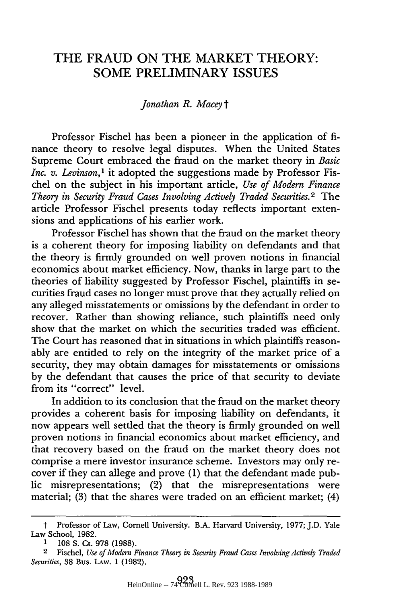## THE FRAUD ON THE MARKET THEORY: **SOME** PRELIMINARY **ISSUES**

## *Jonathan R. Macey t*

Professor Fischel has been a pioneer in the application of finance theory to resolve legal disputes. When the United States Supreme Court embraced the fraud on the market theory in *Basic Inc. v. Levinson,'* it adopted the suggestions made by Professor Fischel on the subject in his important article, *Use of Modern Finance Theory in Security Fraud Cases Involving Actively Traded Securities.2* The article Professor Fischel presents today reflects important extensions and applications of his earlier work.

Professor Fischel has shown that the fraud on the market theory is a coherent theory for imposing liability on defendants and that the theory is firmly grounded on well proven notions in financial economics about market efficiency. Now, thanks in large part to the theories of liability suggested by Professor Fischel, plaintiffs in securities fraud cases no longer must prove that they actually relied on any alleged misstatements or omissions by the defendant in order to recover. Rather than showing reliance, such plaintiffs need only show that the market on which the securities traded was efficient. The Court has reasoned that in situations in which plaintiffs reasonably are entitled to rely on the integrity of the market price of a security, they may obtain damages for misstatements or omissions by the defendant that causes the price of that security to deviate from its "correct" level.

In addition to its conclusion that the fraud on the market theory provides a coherent basis for imposing liability on defendants, it now appears well settled that the theory is firmly grounded on well proven notions in financial economics about market efficiency, and that recovery based on the fraud on the market theory does not comprise a mere investor insurance scheme. Investors may only recover if they can allege and prove (1) that the defendant made public misrepresentations; (2) that the misrepresentations were material; (3) that the shares were traded on an efficient market; (4)

t Professor of Law, Cornell University. B.A. Harvard University, 1977; J.D. Yale Law School, 1982.

**<sup>1</sup>** 108 S. Ct. 978 (1988).

<sup>2</sup> Fischel, *Use of Modern Finance Theory in Security Fraud Cases Involving Actively Traded Securities,* 38 Bus. LAw. 1 (1982).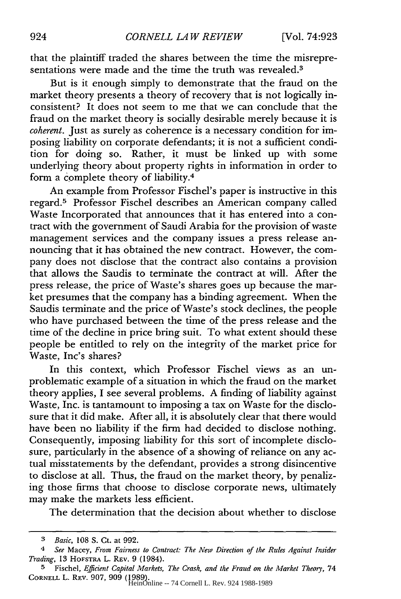that the plaintiff traded the shares between the time the misrepresentations were made and the time the truth was revealed.<sup>3</sup>

But is it enough simply to demonstrate that the fraud on the market theory presents a theory of recovery that is not logically inconsistent? It does not seem to me that we can conclude that the fraud on the market theory is socially desirable merely because it is *coherent.* Just as surely as coherence is a necessary condition for imposing liability on corporate defendants; it is not a sufficient condition for doing so. Rather, it must be linked up with some underlying theory about property rights in information in order to form a complete theory of liability.4

An example from Professor Fischel's paper is instructive in this regard.5 Professor Fischel describes an American company called Waste Incorporated that announces that it has entered into a contract with the government of Saudi Arabia for the provision of waste management services and the company issues a press release announcing that it has obtained the new contract. However, the company does not disclose that the contract also contains a provision that allows the Saudis to terminate the contract at will. After the press release, the price of Waste's shares goes up because the market presumes that the company has a binding agreement. When the Saudis terminate and the price of Waste's stock declines, the people who have purchased between the time of the press release and the time of the decline in price bring suit. To what extent should these people be entitled to rely on the integrity of the market price for Waste, Inc's shares?

In this context, which Professor Fischel views as an unproblematic example of a situation in which the fraud on the market theory applies, I see several problems. A finding of liability against Waste, Inc. is tantamount to imposing a tax on Waste for the disclosure that it did make. After all, it is absolutely clear that there would have been no liability if the firm had decided to disclose nothing. Consequently, imposing liability for this sort of incomplete disclosure, particularly in the absence of a showing of reliance on any actual misstatements by the defendant, provides a strong disincentive to disclose at all. Thus, the fraud on the market theory, by penalizing those firms that choose to disclose corporate news, ultimately may make the markets less efficient.

The determination that the decision about whether to disclose

*<sup>3</sup> Basic,* 108 S. Ct. at 992.

<sup>4</sup> *See* Macey, *From Fairness to Contract: The New Direction of the Rules Against Insider Trading,* 13 HOFSTRA L. REV. 9 (1984).

**<sup>5</sup>** Fischel, *Efficient* Capital *Markets, The Crash, and the Fraud on the Market Theory,* 74 CORNELL L. **REV.** 907, 909 (1989). HeinOnline -- 74 Cornell L. Rev. 924 1988-1989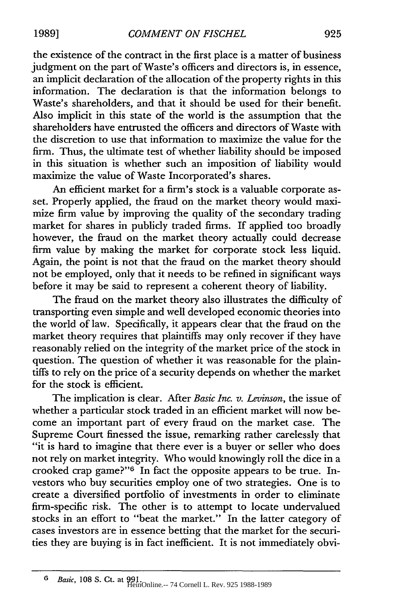the existence of the contract in the first place is a matter of business judgment on the part of Waste's officers and directors is, in essence, an implicit declaration of the allocation of the property rights in this information. The declaration is that the information belongs to Waste's shareholders, and that it should be used for their benefit. Also implicit in this state of the world is the assumption that the shareholders have entrusted the officers and directors of Waste with the discretion to use that information to maximize the value for the firm. Thus, the ultimate test of whether liability should be imposed in this situation is whether such an imposition of liability would maximize the value of Waste Incorporated's shares.

An efficient market for a firm's stock is a valuable corporate asset. Properly applied, the fraud on the market theory would maximize firm value by improving the quality of the secondary trading market for shares in publicly traded firms. If applied too broadly however, the fraud on the market theory actually could decrease firm value by making the market for corporate stock less liquid. Again, the point is not that the fraud on the market theory should not be employed, only that it needs to be refined in significant ways before it may be said to represent a coherent theory of liability.

The fraud on the market theory also illustrates the difficulty of transporting even simple and well developed economic theories into the world of law. Specifically, it appears clear that the fraud on the market theory requires that plaintiffs may only recover if they have reasonably relied on the integrity of the market price of the stock in question. The question of whether it was reasonable for the plaintiffs to rely on the price of a security depends on whether the market for the stock is efficient.

The implication is clear. After *Basic Inc. v. Levinson,* the issue of whether a particular stock traded in an efficient market will now become an important part of every fraud on the market case. The Supreme Court finessed the issue, remarking rather carelessly that "it is hard to imagine that there ever is a buyer or seller who does not rely on market integrity. Who would knowingly roll the dice in a crooked crap game?"<sup>6</sup> In fact the opposite appears to be true. Investors who buy securities employ one of two strategies. One is to create a diversified portfolio of investments in order to eliminate firm-specific risk. The other is to attempt to locate undervalued stocks in an effort to "beat the market." In the latter category of cases investors are in essence betting that the market for the securities they are buying is in fact inefficient. It is not immediately obvi